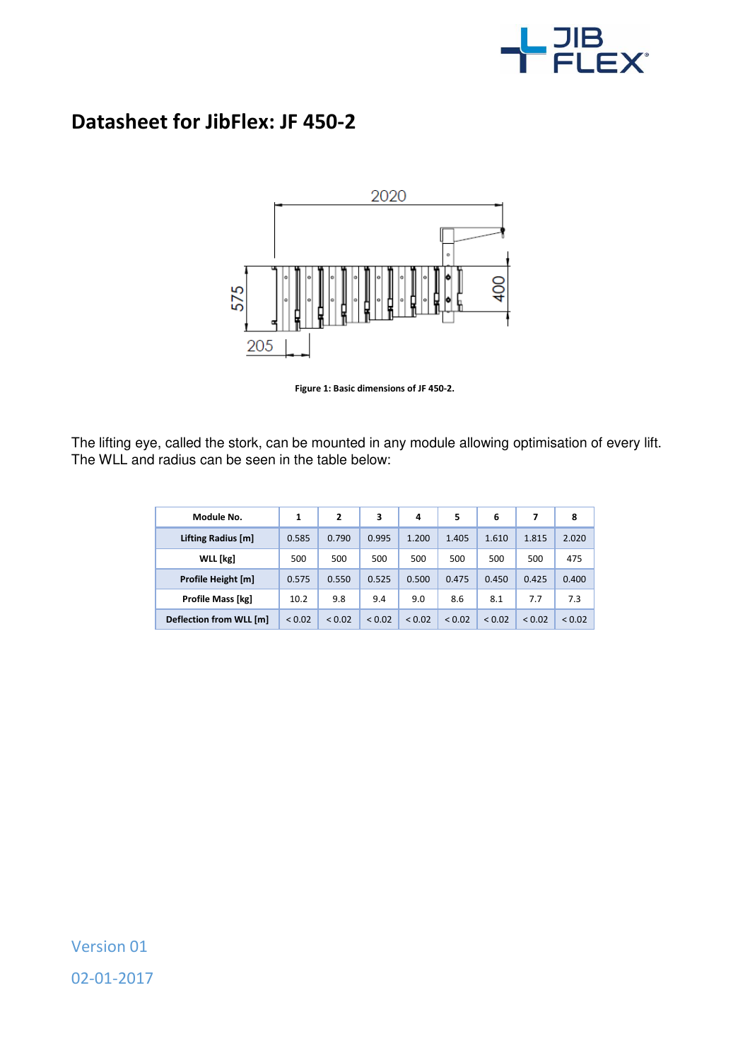

## **Datasheet for JibFlex: JF 450-2**



**Figure 1: Basic dimensions of JF 450-2.** 

The lifting eye, called the stork, can be mounted in any module allowing optimisation of every lift. The WLL and radius can be seen in the table below:

| Module No.              | 1      | 2      | 3           | 4           | 5           | 6      | 7           | 8           |
|-------------------------|--------|--------|-------------|-------------|-------------|--------|-------------|-------------|
| Lifting Radius [m]      | 0.585  | 0.790  | 0.995       | 1.200       | 1.405       | 1.610  | 1.815       | 2.020       |
| WLL [kg]                | 500    | 500    | 500         | 500         | 500         | 500    | 500         | 475         |
| Profile Height [m]      | 0.575  | 0.550  | 0.525       | 0.500       | 0.475       | 0.450  | 0.425       | 0.400       |
| Profile Mass [kg]       | 10.2   | 9.8    | 9.4         | 9.0         | 8.6         | 8.1    | 7.7         | 7.3         |
| Deflection from WLL [m] | < 0.02 | < 0.02 | ${}_{0.02}$ | ${}_{0.02}$ | ${}_{0.02}$ | < 0.02 | ${}_{0.02}$ | ${}_{0.02}$ |